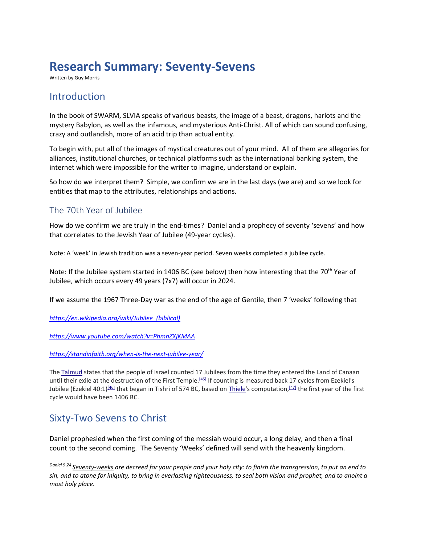# **Research Summary: Seventy-Sevens**

Written by Guy Morris

### Introduction

In the book of SWARM, SLVIA speaks of various beasts, the image of a beast, dragons, harlots and the mystery Babylon, as well as the infamous, and mysterious Anti-Christ. All of which can sound confusing, crazy and outlandish, more of an acid trip than actual entity.

To begin with, put all of the images of mystical creatures out of your mind. All of them are allegories for alliances, institutional churches, or technical platforms such as the international banking system, the internet which were impossible for the writer to imagine, understand or explain.

So how do we interpret them? Simple, we confirm we are in the last days (we are) and so we look for entities that map to the attributes, relationships and actions.

### The 70th Year of Jubilee

How do we confirm we are truly in the end-times? Daniel and a prophecy of seventy 'sevens' and how that correlates to the Jewish Year of Jubilee (49-year cycles).

Note: A 'week' in Jewish tradition was a seven-year period. Seven weeks completed a jubilee cycle.

Note: If the Jubilee system started in 1406 BC (see below) then how interesting that the 70<sup>th</sup> Year of Jubilee, which occurs every 49 years (7x7) will occur in 2024.

If we assume the 1967 Three-Day war as the end of the age of Gentile, then 7 'weeks' following that

*[https://en.wikipedia.org/wiki/Jubilee\\_\(biblical\)](https://en.wikipedia.org/wiki/Jubilee_(biblical))*

*<https://www.youtube.com/watch?v=PhmnZXjKMAA>*

*<https://standinfaith.org/when-is-the-next-jubilee-year/>*

The [Talmud](https://en.wikipedia.org/wiki/Talmud) states that the people of Israel counted 17 Jubilees from the time they entered the Land of Canaan until their exile at the destruction of the First Temple.<sup>[\[45\]](https://en.wikipedia.org/wiki/Jubilee_(biblical)#cite_note-45)</sup> If counting is measured back 17 cycles from Ezekiel's Jubilee (Ezekiel 40:1)<sup>[\[46\]](https://en.wikipedia.org/wiki/Jubilee_(biblical)#cite_note-46)</sup> that began in Tishri of 574 BC, based on <u>Thiele</u>'s computation,<sup>[\[47\]](https://en.wikipedia.org/wiki/Jubilee_(biblical)#cite_note-47)</sup> the first year of the first cycle would have been 1406 BC.

### Sixty-Two Sevens to Christ

Daniel prophesied when the first coming of the messiah would occur, a long delay, and then a final count to the second coming. The Seventy 'Weeks' defined will send with the heavenly kingdom.

*Daniel 9 24 Seventy-weeks are decreed for your people and your holy city: to finish the transgression, to put an end to sin, and to atone for iniquity, to bring in everlasting righteousness, to seal both vision and prophet, and to anoint a most holy place.*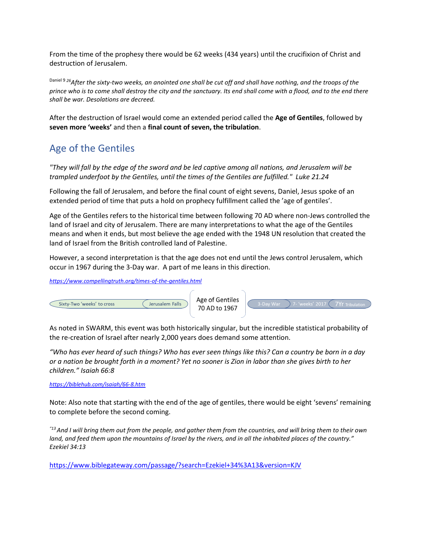From the time of the prophesy there would be 62 weeks (434 years) until the crucifixion of Christ and destruction of Jerusalem.

Daniel 9 *<sup>26</sup>After the sixty-two weeks, an anointed one shall be cut off and shall have nothing, and the troops of the prince who is to come shall destroy the city and the sanctuary. Its end shall come with a flood, and to the end there shall be war. Desolations are decreed.*

After the destruction of Israel would come an extended period called the **Age of Gentiles**, followed by **seven more 'weeks'** and then a **final count of seven, the tribulation**.

### Age of the Gentiles

*"They will fall by the edge of the sword and be led captive among all nations, and Jerusalem will be trampled underfoot by the Gentiles, until the times of the Gentiles are fulfilled." Luke 21.24*

Following the fall of Jerusalem, and before the final count of eight sevens, Daniel, Jesus spoke of an extended period of time that puts a hold on prophecy fulfillment called the 'age of gentiles'.

Age of the Gentiles refers to the historical time between following 70 AD where non-Jews controlled the land of Israel and city of Jerusalem. There are many interpretations to what the age of the Gentiles means and when it ends, but most believe the age ended with the 1948 UN resolution that created the land of Israel from the British controlled land of Palestine.

However, a second interpretation is that the age does not end until the Jews control Jerusalem, which occur in 1967 during the 3-Day war. A part of me leans in this direction.

*<https://www.compellingtruth.org/times-of-the-gentiles.html>*



As noted in SWARM, this event was both historically singular, but the incredible statistical probability of the re-creation of Israel after nearly 2,000 years does demand some attention.

*"Who has ever heard of such things? Who has ever seen things like this? Can a country be born in a day or a nation be brought forth in a moment? Yet no sooner is Zion in labor than she gives birth to her children." Isaiah 66:8* 

*<https://biblehub.com/isaiah/66-8.htm>*

Note: Also note that starting with the end of the age of gentiles, there would be eight 'sevens' remaining to complete before the second coming.

*"13And I will bring them out from the people, and gather them from the countries, and will bring them to their own land, and feed them upon the mountains of Israel by the rivers, and in all the inhabited places of the country." Ezekiel 34:13* 

<https://www.biblegateway.com/passage/?search=Ezekiel+34%3A13&version=KJV>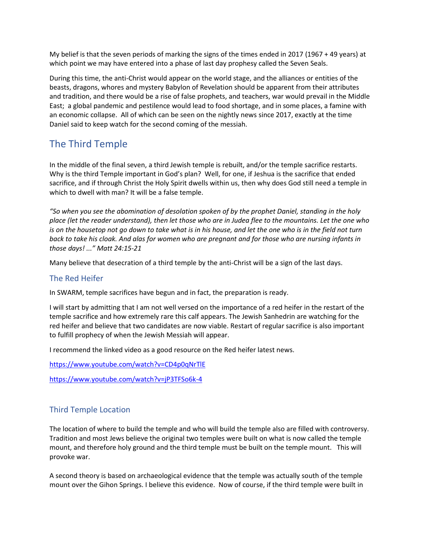My belief is that the seven periods of marking the signs of the times ended in 2017 (1967 + 49 years) at which point we may have entered into a phase of last day prophesy called the Seven Seals.

During this time, the anti-Christ would appear on the world stage, and the alliances or entities of the beasts, dragons, whores and mystery Babylon of Revelation should be apparent from their attributes and tradition, and there would be a rise of false prophets, and teachers, war would prevail in the Middle East; a global pandemic and pestilence would lead to food shortage, and in some places, a famine with an economic collapse. All of which can be seen on the nightly news since 2017, exactly at the time Daniel said to keep watch for the second coming of the messiah.

## The Third Temple

In the middle of the final seven, a third Jewish temple is rebuilt, and/or the temple sacrifice restarts. Why is the third Temple important in God's plan? Well, for one, if Jeshua is the sacrifice that ended sacrifice, and if through Christ the Holy Spirit dwells within us, then why does God still need a temple in which to dwell with man? It will be a false temple.

*"So when you see the abomination of desolation spoken of by the prophet Daniel, standing in the holy place (let the reader understand), then let those who are in Judea flee to the mountains. Let the one who is on the housetop not go down to take what is in his house, and let the one who is in the field not turn back to take his cloak. And alas for women who are pregnant and for those who are nursing infants in those days! ..." Matt 24:15-21*

Many believe that desecration of a third temple by the anti-Christ will be a sign of the last days.

#### The Red Heifer

In SWARM, temple sacrifices have begun and in fact, the preparation is ready.

I will start by admitting that I am not well versed on the importance of a red heifer in the restart of the temple sacrifice and how extremely rare this calf appears. The Jewish Sanhedrin are watching for the red heifer and believe that two candidates are now viable. Restart of regular sacrifice is also important to fulfill prophecy of when the Jewish Messiah will appear.

I recommend the linked video as a good resource on the Red heifer latest news.

<https://www.youtube.com/watch?v=CD4p0qNrTlE>

<https://www.youtube.com/watch?v=jP3TFSo6k-4>

#### Third Temple Location

The location of where to build the temple and who will build the temple also are filled with controversy. Tradition and most Jews believe the original two temples were built on what is now called the temple mount, and therefore holy ground and the third temple must be built on the temple mount. This will provoke war.

A second theory is based on archaeological evidence that the temple was actually south of the temple mount over the Gihon Springs. I believe this evidence. Now of course, if the third temple were built in